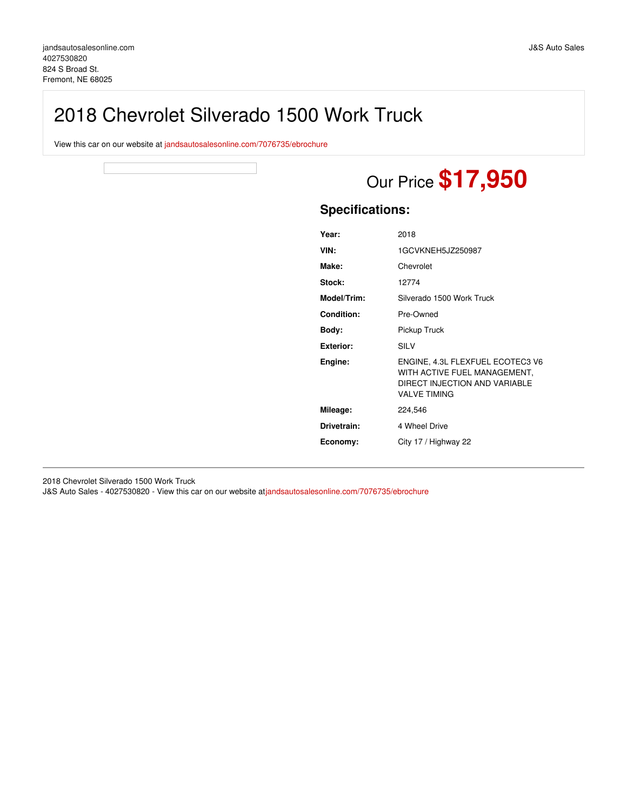# 2018 Chevrolet Silverado 1500 Work Truck

View this car on our website at [jandsautosalesonline.com/7076735/ebrochure](https://jandsautosalesonline.com/vehicle/7076735/2018-chevrolet-silverado-1500-work-truck-fremont-ne-68025/7076735/ebrochure)

# Our Price **\$17,950**

## **Specifications:**

| Year:             | 2018                                                                                                                     |
|-------------------|--------------------------------------------------------------------------------------------------------------------------|
| VIN:              | 1GCVKNEH5JZ250987                                                                                                        |
| Make:             | Chevrolet                                                                                                                |
| Stock:            | 12774                                                                                                                    |
| Model/Trim:       | Silverado 1500 Work Truck                                                                                                |
| <b>Condition:</b> | Pre-Owned                                                                                                                |
| Body:             | Pickup Truck                                                                                                             |
| <b>Exterior:</b>  | SILV                                                                                                                     |
| Engine:           | ENGINE, 4.3L FLEXFUEL ECOTEC3 V6<br>WITH ACTIVE FUEL MANAGEMENT,<br>DIRECT INJECTION AND VARIABLE<br><b>VALVE TIMING</b> |
| Mileage:          | 224,546                                                                                                                  |
| Drivetrain:       | 4 Wheel Drive                                                                                                            |
| Economy:          | City 17 / Highway 22                                                                                                     |

2018 Chevrolet Silverado 1500 Work Truck

J&S Auto Sales - 4027530820 - View this car on our website at[jandsautosalesonline.com/7076735/ebrochure](https://jandsautosalesonline.com/vehicle/7076735/2018-chevrolet-silverado-1500-work-truck-fremont-ne-68025/7076735/ebrochure)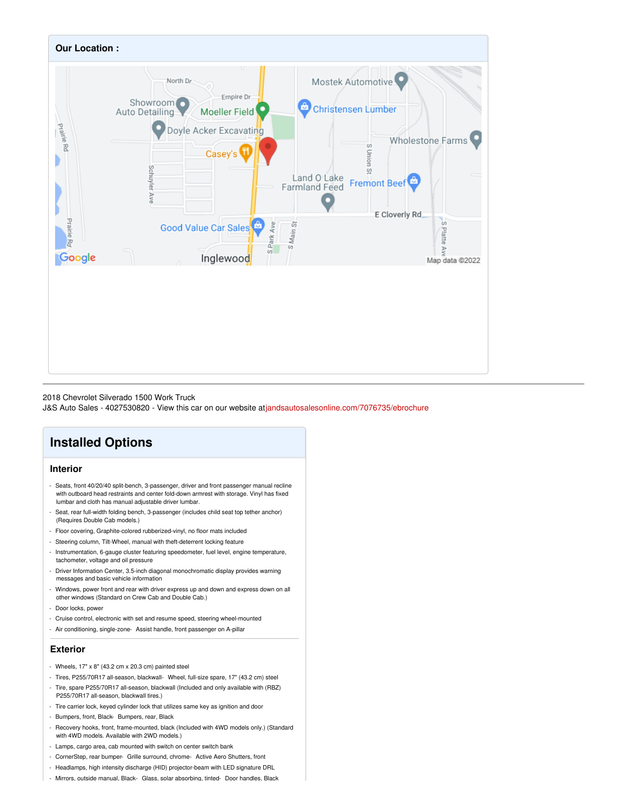

#### 2018 Chevrolet Silverado 1500 Work Truck

J&S Auto Sales - 4027530820 - View this car on our website at[jandsautosalesonline.com/7076735/ebrochure](https://jandsautosalesonline.com/vehicle/7076735/2018-chevrolet-silverado-1500-work-truck-fremont-ne-68025/7076735/ebrochure)

# **Installed Options**

### **Interior**

- Seats, front 40/20/40 split-bench, 3-passenger, driver and front passenger manual recline with outboard head restraints and center fold-down armrest with storage. Vinyl has fixed lumbar and cloth has manual adjustable driver lumbar.
- Seat, rear full-width folding bench, 3-passenger (includes child seat top tether anchor) (Requires Double Cab models.)
- Floor covering, Graphite-colored rubberized-vinyl, no floor mats included
- Steering column, Tilt-Wheel, manual with theft-deterrent locking feature
- Instrumentation, 6-gauge cluster featuring speedometer, fuel level, engine temperature, tachometer, voltage and oil pressure
- Driver Information Center, 3.5-inch diagonal monochromatic display provides warning messages and basic vehicle information
- Windows, power front and rear with driver express up and down and express down on all other windows (Standard on Crew Cab and Double Cab.)
- Door locks, power
- Cruise control, electronic with set and resume speed, steering wheel-mounted
- Air conditioning, single-zone- Assist handle, front passenger on A-pillar

#### **Exterior**

- Wheels,  $17" \times 8"$  (43.2 cm  $\times$  20.3 cm) painted steel
- Tires, P255/70R17 all-season, blackwall- Wheel, full-size spare, 17" (43.2 cm) steel
- Tire, spare P255/70R17 all-season, blackwall (Included and only available with (RBZ) P255/70R17 all-season, blackwall tires.)
- Tire carrier lock, keyed cylinder lock that utilizes same key as ignition and door
- Bumpers, front, Black- Bumpers, rear, Black
- Recovery hooks, front, frame-mounted, black (Included with 4WD models only.) (Standard with 4WD models. Available with 2WD models.)
- Lamps, cargo area, cab mounted with switch on center switch bank
- CornerStep, rear bumper- Grille surround, chrome- Active Aero Shutters, front
- Headlamps, high intensity discharge (HID) projector-beam with LED signature DRL
- Mirrors, outside manual, Black- Glass, solar absorbing, tinted- Door handles, Black